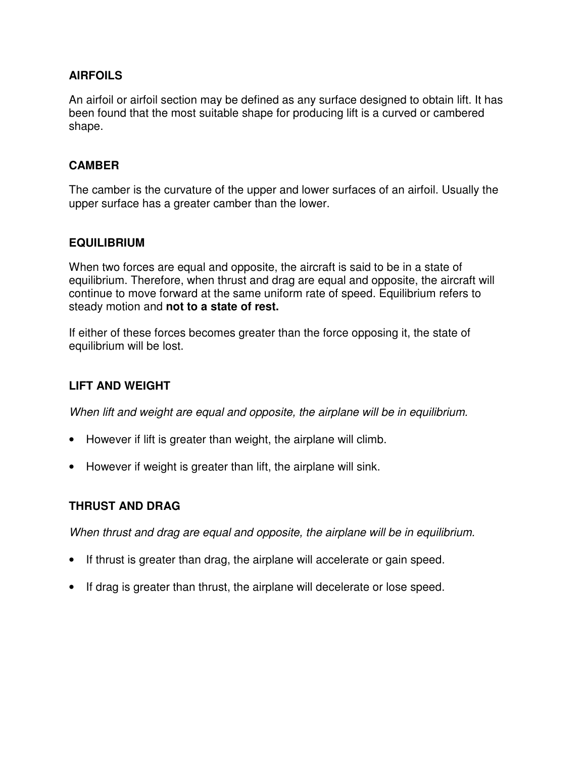### **AIRFOILS**

An airfoil or airfoil section may be defined as any surface designed to obtain lift. It has been found that the most suitable shape for producing lift is a curved or cambered shape.

### **CAMBER**

The camber is the curvature of the upper and lower surfaces of an airfoil. Usually the upper surface has a greater camber than the lower.

# **EQUILIBRIUM**

When two forces are equal and opposite, the aircraft is said to be in a state of equilibrium. Therefore, when thrust and drag are equal and opposite, the aircraft will continue to move forward at the same uniform rate of speed. Equilibrium refers to steady motion and **not to a state of rest.**

If either of these forces becomes greater than the force opposing it, the state of equilibrium will be lost.

# **LIFT AND WEIGHT**

When lift and weight are equal and opposite, the airplane will be in equilibrium.

- However if lift is greater than weight, the airplane will climb.
- However if weight is greater than lift, the airplane will sink.

### **THRUST AND DRAG**

When thrust and drag are equal and opposite, the airplane will be in equilibrium.

- If thrust is greater than drag, the airplane will accelerate or gain speed.
- If drag is greater than thrust, the airplane will decelerate or lose speed.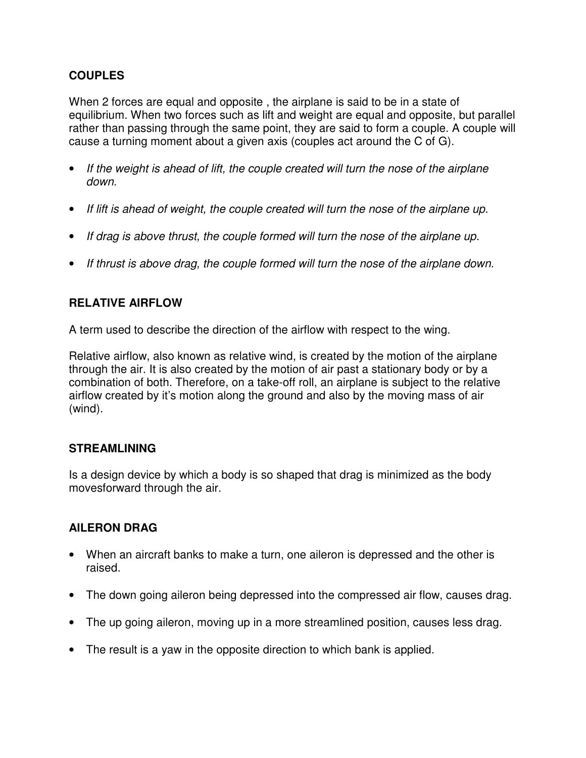# **COUPLES**

When 2 forces are equal and opposite , the airplane is said to be in a state of equilibrium. When two forces such as lift and weight are equal and opposite, but parallel rather than passing through the same point, they are said to form a couple. A couple will cause a turning moment about a given axis (couples act around the C of G).

- If the weight is ahead of lift, the couple created will turn the nose of the airplane down.
- If lift is ahead of weight, the couple created will turn the nose of the airplane up.
- If drag is above thrust, the couple formed will turn the nose of the airplane up.
- If thrust is above drag, the couple formed will turn the nose of the airplane down.

# **RELATIVE AIRFLOW**

A term used to describe the direction of the airflow with respect to the wing.

Relative airflow, also known as relative wind, is created by the motion of the airplane through the air. It is also created by the motion of air past a stationary body or by a combination of both. Therefore, on a take-off roll, an airplane is subject to the relative airflow created by it's motion along the ground and also by the moving mass of air (wind).

### **STREAMLINING**

Is a design device by which a body is so shaped that drag is minimized as the body movesforward through the air.

### **AILERON DRAG**

- When an aircraft banks to make a turn, one aileron is depressed and the other is raised.
- The down going aileron being depressed into the compressed air flow, causes drag.
- The up going aileron, moving up in a more streamlined position, causes less drag.
- The result is a yaw in the opposite direction to which bank is applied.